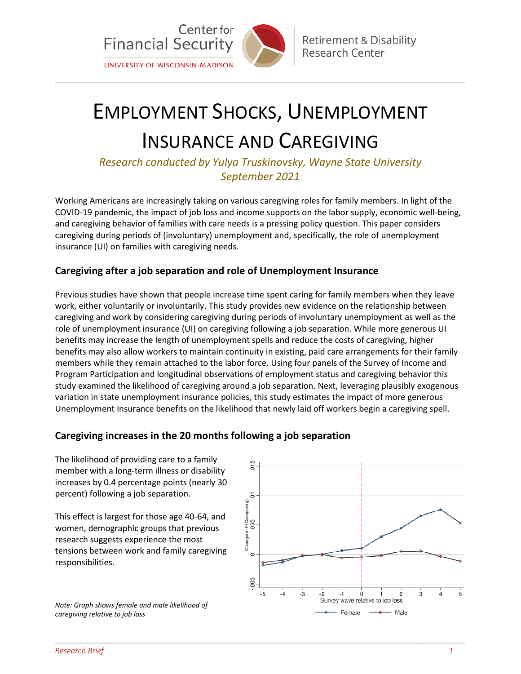

**Retirement & Disability** Research Center

# EMPLOYMENT SHOCKS, UNEMPLOYMENT INSURANCE AND CAREGIVING

\_\_\_\_\_\_\_\_\_\_\_\_\_\_\_\_\_\_\_\_\_\_\_\_\_\_\_\_\_\_\_\_\_\_\_\_\_\_\_\_\_\_\_\_\_\_\_\_\_\_\_\_\_\_\_\_\_\_\_\_\_\_\_\_\_\_\_\_\_\_\_\_\_\_\_\_\_\_\_\_\_\_\_\_\_\_\_\_\_\_\_\_\_\_\_\_\_\_\_\_\_\_\_\_\_\_\_\_\_\_\_\_\_\_\_\_\_\_\_\_\_

*Research conducted by Yulya Truskinovsky, Wayne State University September 2021*

Working Americans are increasingly taking on various caregiving roles for family members. In light of the COVID-19 pandemic, the impact of job loss and income supports on the labor supply, economic well-being, and caregiving behavior of families with care needs is a pressing policy question. This paper considers caregiving during periods of (involuntary) unemployment and, specifically, the role of unemployment insurance (UI) on families with caregiving needs.

# **Caregiving after a job separation and role of Unemployment Insurance**

Previous studies have shown that people increase time spent caring for family members when they leave work, either voluntarily or involuntarily. This study provides new evidence on the relationship between caregiving and work by considering caregiving during periods of involuntary unemployment as well as the role of unemployment insurance (UI) on caregiving following a job separation. While more generous UI benefits may increase the length of unemployment spells and reduce the costs of caregiving, higher benefits may also allow workers to maintain continuity in existing, paid care arrangements for their family members while they remain attached to the labor force. Using four panels of the Survey of Income and Program Participation and longitudinal observations of employment status and caregiving behavior this study examined the likelihood of caregiving around a job separation. Next, leveraging plausibly exogenous variation in state unemployment insurance policies, this study estimates the impact of more generous Unemployment Insurance benefits on the likelihood that newly laid off workers begin a caregiving spell.

\_\_\_\_\_\_\_\_\_\_\_\_\_\_\_\_\_\_\_\_\_\_\_\_\_\_\_\_\_\_\_\_\_\_\_\_\_\_\_\_\_\_\_\_\_\_\_\_\_\_\_\_\_\_\_\_\_\_\_\_\_\_\_\_\_\_\_\_\_\_\_\_\_\_\_\_\_\_\_\_\_\_\_\_\_\_\_\_\_\_\_\_\_\_\_\_\_\_\_\_\_\_\_\_\_\_\_\_\_\_\_\_\_\_\_\_\_\_\_\_\_

# **Caregiving increases in the 20 months following a job separation**

The likelihood of providing care to a family member with a long-term illness or disability increases by 0.4 percentage points (nearly 30 percent) following a job separation.

This effect is largest for those age 40-64, and women, demographic groups that previous research suggests experience the most tensions between work and family caregiving responsibilities.

*Note: Graph shows female and male likelihood of caregiving relative to job loss*